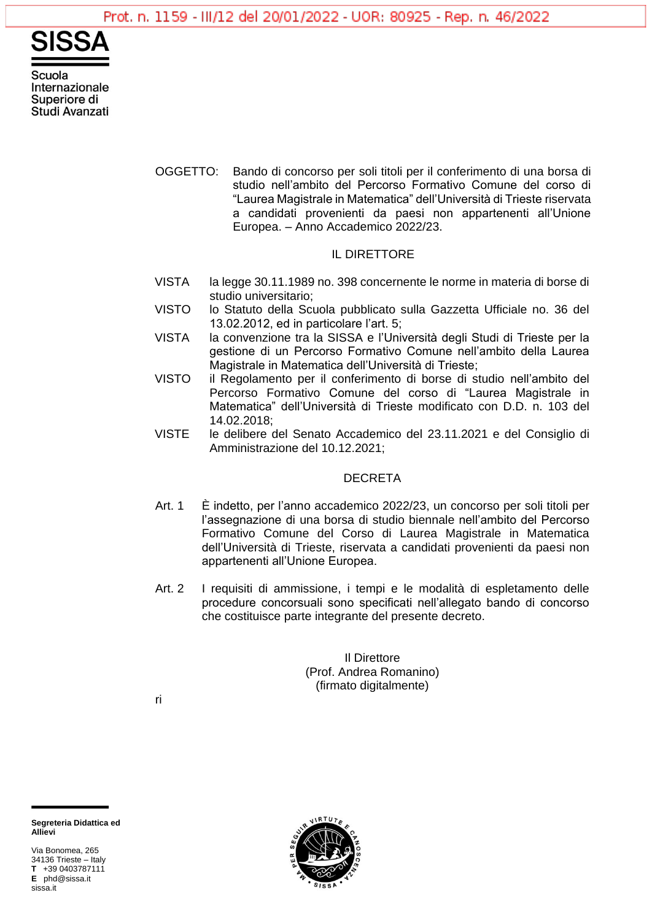

Scuola Internazionale Superiore di Studi Avanzati

> OGGETTO: Bando di concorso per soli titoli per il conferimento di una borsa di studio nell'ambito del Percorso Formativo Comune del corso di "Laurea Magistrale in Matematica" dell'Università di Trieste riservata a candidati provenienti da paesi non appartenenti all'Unione Europea. – Anno Accademico 2022/23.

## IL DIRETTORE

- VISTA la legge 30.11.1989 no. 398 concernente le norme in materia di borse di studio universitario;
- VISTO lo Statuto della Scuola pubblicato sulla Gazzetta Ufficiale no. 36 del 13.02.2012, ed in particolare l'art. 5;
- VISTA la convenzione tra la SISSA e l'Università degli Studi di Trieste per la gestione di un Percorso Formativo Comune nell'ambito della Laurea Magistrale in Matematica dell'Università di Trieste;
- VISTO il Regolamento per il conferimento di borse di studio nell'ambito del Percorso Formativo Comune del corso di "Laurea Magistrale in Matematica" dell'Università di Trieste modificato con D.D. n. 103 del 14.02.2018;
- VISTE le delibere del Senato Accademico del 23.11.2021 e del Consiglio di Amministrazione del 10.12.2021;

### DECRETA

- Art. 1 È indetto, per l'anno accademico 2022/23, un concorso per soli titoli per l'assegnazione di una borsa di studio biennale nell'ambito del Percorso Formativo Comune del Corso di Laurea Magistrale in Matematica dell'Università di Trieste, riservata a candidati provenienti da paesi non appartenenti all'Unione Europea.
- Art. 2 I requisiti di ammissione, i tempi e le modalità di espletamento delle procedure concorsuali sono specificati nell'allegato bando di concorso che costituisce parte integrante del presente decreto.

Il Direttore (Prof. Andrea Romanino) (firmato digitalmente)

ri



Via Bonomea, 265 34136 Trieste – Italy **T** +39 0403787111 **E** phd@sissa.it sissa.it

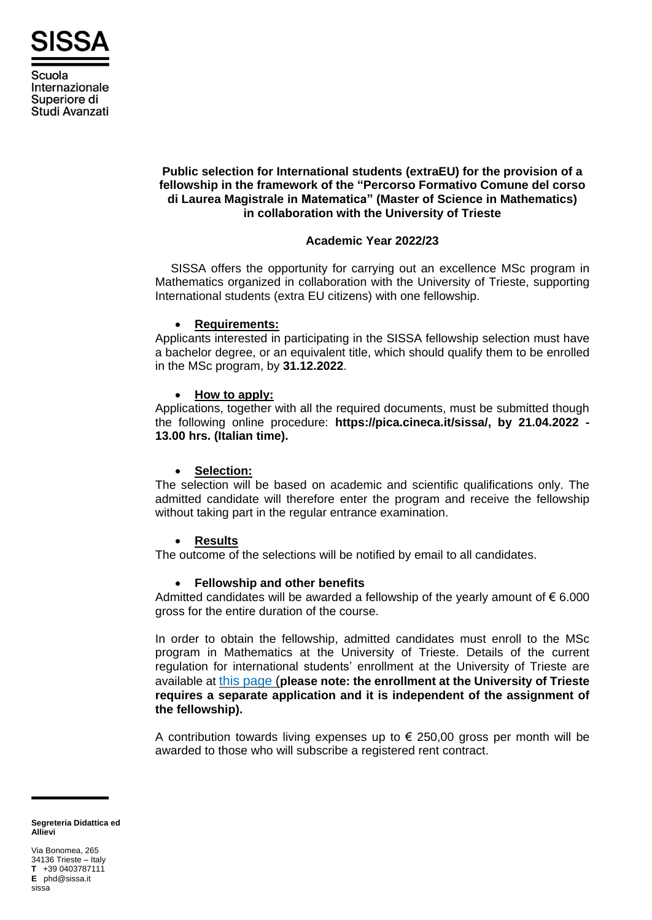

Scuola Internazionale Superiore di Studi Avanzati

## **Public selection for International students (extraEU) for the provision of a fellowship in the framework of the "Percorso Formativo Comune del corso di Laurea Magistrale in Matematica" (Master of Science in Mathematics) in collaboration with the University of Trieste**

## **Academic Year 2022/23**

SISSA offers the opportunity for carrying out an excellence MSc program in Mathematics organized in collaboration with the University of Trieste, supporting International students (extra EU citizens) with one fellowship.

#### • **Requirements:**

Applicants interested in participating in the SISSA fellowship selection must have a bachelor degree, or an equivalent title, which should qualify them to be enrolled in the MSc program, by **31.12.2022**.

## • **How to apply:**

Applications, together with all the required documents, must be submitted though the following online procedure: **https://pica.cineca.it/sissa/, by 21.04.2022 - 13.00 hrs. (Italian time).**

#### • **Selection:**

The selection will be based on academic and scientific qualifications only. The admitted candidate will therefore enter the program and receive the fellowship without taking part in the regular entrance examination.

# • **Results**

The outcome of the selections will be notified by email to all candidates.

# • **Fellowship and other benefits**

Admitted candidates will be awarded a fellowship of the yearly amount of  $\epsilon$  6.000 gross for the entire duration of the course.

In order to obtain the fellowship, admitted candidates must enroll to the MSc program in Mathematics at the University of Trieste. Details of the current regulation for international students' enrollment at the University of Trieste are available at this [page](http://www2.units.it/stranieri/en/) (**please note: the enrollment at the University of Trieste requires a separate application and it is independent of the assignment of the fellowship).**

A contribution towards living expenses up to  $\epsilon$  250,00 gross per month will be awarded to those who will subscribe a registered rent contract.

**Segreteria Didattica ed Allievi**

Via Bonomea, 265 34136 Trieste – Italy **T** +39 0403787111 **E** phd@sissa.it sissa